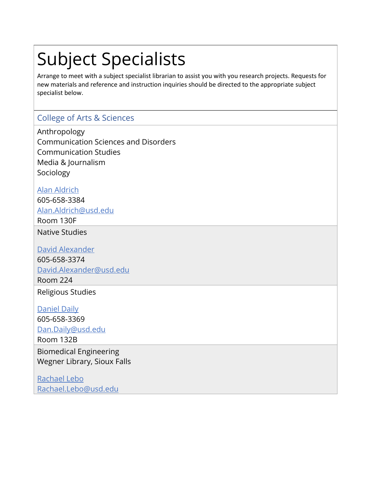# Subject Specialists

Arrange to meet with a subject specialist librarian to assist you with you research projects. Requests for new materials and reference and instruction inquiries should be directed to the appropriate subject specialist below.

# College of Arts & Sciences

Anthropology Communication Sciences and Disorders Communication Studies Media & Journalism **Sociology** 

[Alan Aldrich](https://www.usd.edu/research-and-faculty/faculty-and-staff/aaldrich) 605-658-3384

[Alan.Aldrich@usd.edu](mailto:Alan.Aldrich@usd.edu)

Room 130F

Native Studies

[David Alexander](https://www.usd.edu/research-and-faculty/faculty-and-staff/dlalexan) 605-658-3374 [David.Alexander@usd.edu](mailto:David.Alexander@usd.edu) Room 224

Religious Studies

[Daniel Daily](https://www.usd.edu/research-and-faculty/faculty-and-staff/dan-daily) 605-658-3369 [Dan.Daily@usd.edu](mailto:Dan.Daily@usd.edu)

Room 132B

Biomedical Engineering Wegner Library, Sioux Falls

[Rachael Lebo](https://www.usd.edu/research-and-faculty/faculty-and-staff/rachael-lebo) [Rachael.Lebo@usd.edu](mailto:Rachael.Lebo@usd.edu)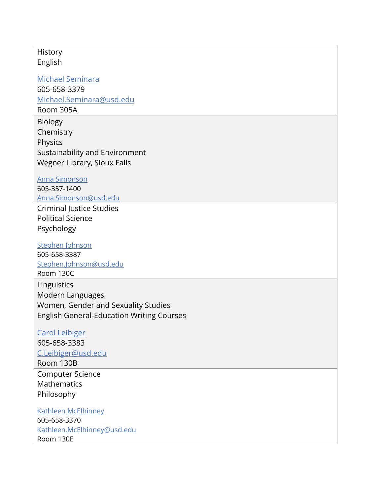#### History English

[Michael Seminara](https://www.usd.edu/research-and-faculty/faculty-and-staff/michael-seminara) 605-658-3379 [Michael.Seminara@usd.edu](mailto:Michael.Seminara@usd.edu)

Room 305A

Biology **Chemistry** Physics Sustainability and Environment Wegner Library, Sioux Falls

[Anna Simonson](https://www.usd.edu/research-and-faculty/faculty-and-staff/anna-simonson)

605-357-1400 [Anna.Simonson@usd.edu](mailto:Anna.Simonson@usd.edu) Criminal Justice Studies Political Science

Psychology

[Stephen Johnson](https://www.usd.edu/research-and-faculty/faculty-and-staff/skjohnso) 605-658-3387

[Stephen.Johnson@usd.edu](mailto:Stephen.Johnson@usd.edu) Room 130C **Linguistics** Modern Languages Women, Gender and Sexuality Studies

English General-Education Writing Courses

#### [Carol Leibiger](https://www.usd.edu/research-and-faculty/faculty-and-staff/cleibige)

605-658-3383 [C.Leibiger@usd.edu](mailto:C.Leibiger@usd.edu) Room 130B Computer Science Mathematics Philosophy

[Kathleen McElhinney](https://www.usd.edu/research-and-faculty/faculty-and-staff/kathleen-mcelhinney) 605-658-3370 [Kathleen.McElhinney@usd.edu](mailto:Kathleen.McElhinney@usd.edu) Room 130E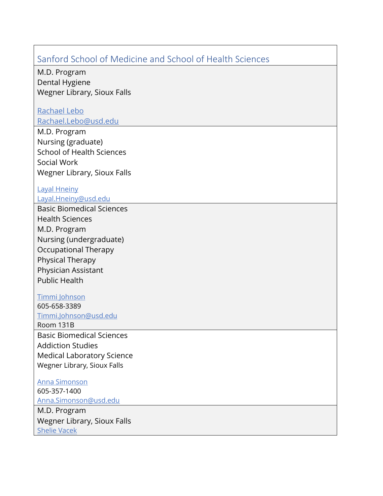# Sanford School of Medicine and School of Health Sciences

M.D. Program Dental Hygiene Wegner Library, Sioux Falls

## [Rachael Lebo](https://www.usd.edu/research-and-faculty/faculty-and-staff/rachael-lebo)

[Rachael.Lebo@usd.edu](mailto:Rachael.Lebo@usd.edu)

M.D. Program Nursing (graduate) School of Health Sciences Social Work Wegner Library, Sioux Falls

## [Layal Hneiny](https://www.usd.edu/research-and-faculty/faculty-and-staff/layal-hneiny)

#### [Layal.Hneiny@usd.edu](mailto:Layal.Hneiny@usd.edu)

Basic Biomedical Sciences Health Sciences M.D. Program Nursing (undergraduate) Occupational Therapy Physical Therapy Physician Assistant Public Health

#### [Timmi Johnson](https://www.usd.edu/research-and-faculty/faculty-and-staff/timmi-johnson)

605-658-3389

[Timmi.Johnson@usd.edu](mailto:Timmi.Johnson@usd.edu) Room 131B

Basic Biomedical Sciences Addiction Studies Medical Laboratory Science Wegner Library, Sioux Falls

[Anna Simonson](https://www.usd.edu/research-and-faculty/faculty-and-staff/anna-simonson) 605-357-1400 [Anna.Simonson@usd.edu](mailto:Anna.Simonson@usd.edu)

M.D. Program Wegner Library, Sioux Falls [Shelie Vacek](https://www.usd.edu/research-and-faculty/faculty-and-staff/shelie-farrand)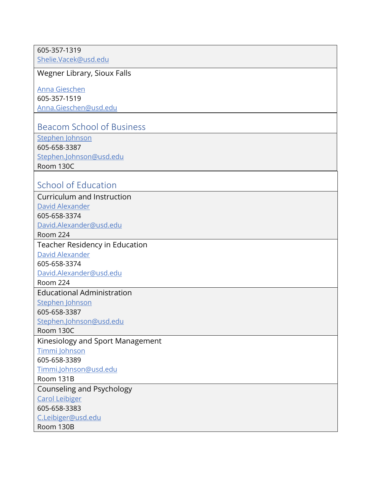#### 605-357-1319 [Shelie.Vacek@usd.edu](mailto:Shelie.Vacek@usd.edu)

Wegner Library, Sioux Falls

[Anna Gieschen](https://www.usd.edu/research-and-faculty/faculty-and-staff/agiesche) 605-357-1519 [Anna.Gieschen@usd.edu](mailto:Anna.Gieschen@usd.edu)

## Beacom School of Business

[Stephen Johnson](https://www.usd.edu/research-and-faculty/faculty-and-staff/skjohnso) 605-658-3387 [Stephen.Johnson@usd.edu](mailto:Stephen.Johnson@usd.edu) Room 130C

# School of Education

Curriculum and Instruction [David Alexander](https://www.usd.edu/research-and-faculty/faculty-and-staff/dlalexan) 605-658-3374 [David.Alexander@usd.edu](mailto:David.Alexander@usd.edu) Room 224 Teacher Residency in Education [David Alexander](https://www.usd.edu/research-and-faculty/faculty-and-staff/dlalexan) 605-658-3374 [David.Alexander@usd.edu](mailto:David.Alexander@usd.edu) Room 224 Educational Administration [Stephen Johnson](https://www.usd.edu/research-and-faculty/faculty-and-staff/skjohnso) 605-658-3387 [Stephen.Johnson@usd.edu](mailto:Stephen.Johnson@usd.edu) Room 130C Kinesiology and Sport Management [Timmi Johnson](https://www.usd.edu/research-and-faculty/faculty-and-staff/timmi-johnson) 605-658-3389 [Timmi.Johnson@usd.edu](mailto:Timmi.Johnson@usd.edu) Room 131B Counseling and Psychology [Carol Leibiger](https://www.usd.edu/research-and-faculty/faculty-and-staff/cleibige) 605-658-3383 [C.Leibiger@usd.edu](mailto:C.Leibiger@usd.edu) Room 130B